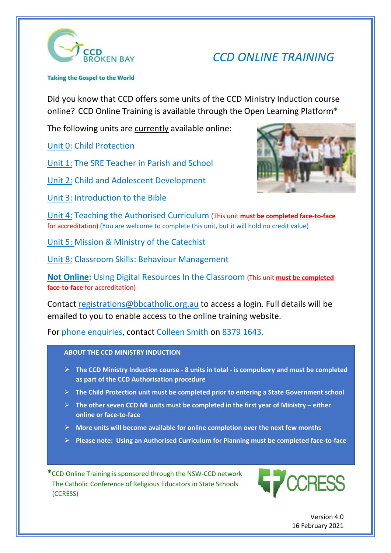

## *CCD ONLINE TRAINING*

Taking the Gospel to the World

Did you know that CCD offers some units of the CCD Ministry Induction course online? CCD Online Training is available through the Open Learning Platform**\*** 

The following units are currently available online:

Unit 0: Child Protection

Unit 1: The SRE Teacher in Parish and School

Unit 2: Child and Adolescent Development

Unit 3: Introduction to the Bible



Unit 4: Teaching the Authorised Curriculum (This unit **must be completed face-to-face** for accreditation) (You are welcome to complete this unit, but it will hold no credit value)

Unit 5: Mission & Ministry of the Catechist

Unit 8: Classroom Skills: Behaviour Management

**Not Online:** Using Digital Resources In the Classroom (This unit **must be completed face-to-face** for accreditation)

Contact [registrations@bbcatholic.org.au](mailto:registrations@bbcatholic.org.au) to access a login. Full details will be emailed to you to enable access to the online training website.

For phone enquiries, contact Colleen Smith on 8379 1643.

**ABOUT THE CCD MINISTRY INDUCTION**

- **EXECT THE CCD Ministry Induction course 8 units in total is compulsory and must be completed <br>
<b>EXECT Ministry Induction course 8 units in total is compulsory and must be completed EXECUTE:** The SCD Number of the CCD Authorisation procedure
- **All 8 units of the Child Protection unit must be completed prior to entering a State Government school**
- **EX** The other seven CCD MI units must be completed in the first year of Ministry either **https://www.bbcatholic.org.au/parish-community/ministries/community/ministries/calendary/community/ministries/c** 
	- **More units will become available for online completion over the next few months**
	- **Please note: Using an Authorised Curriculum for Planning must be completed face-to-face**

**\***CCD Online Training is sponsored through the NSW-CCD network The Catholic Conference of Religious Educators in State Schools (CCRESS)



Version 4.0 16 February 2021